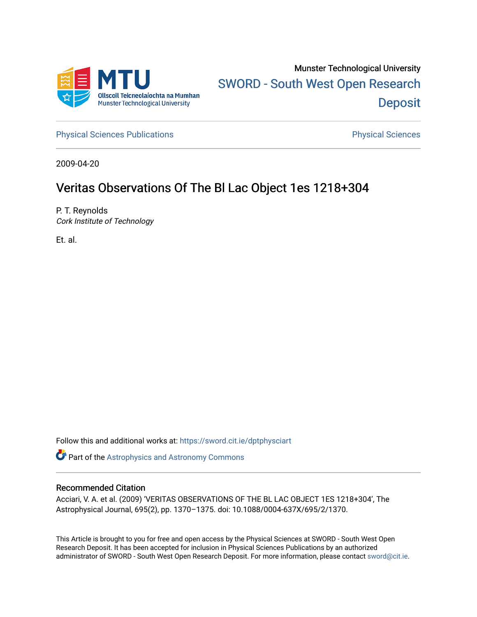

[Physical Sciences Publications](https://sword.cit.ie/dptphysciart) **Physical Sciences** Physical Sciences

2009-04-20

# Veritas Observations Of The Bl Lac Object 1es 1218+304

P. T. Reynolds Cork Institute of Technology

Et. al.

Follow this and additional works at: [https://sword.cit.ie/dptphysciart](https://sword.cit.ie/dptphysciart?utm_source=sword.cit.ie%2Fdptphysciart%2F52&utm_medium=PDF&utm_campaign=PDFCoverPages)

Part of the [Astrophysics and Astronomy Commons](http://network.bepress.com/hgg/discipline/123?utm_source=sword.cit.ie%2Fdptphysciart%2F52&utm_medium=PDF&utm_campaign=PDFCoverPages) 

# Recommended Citation

Acciari, V. A. et al. (2009) 'VERITAS OBSERVATIONS OF THE BL LAC OBJECT 1ES 1218+304', The Astrophysical Journal, 695(2), pp. 1370–1375. doi: 10.1088/0004-637X/695/2/1370.

This Article is brought to you for free and open access by the Physical Sciences at SWORD - South West Open Research Deposit. It has been accepted for inclusion in Physical Sciences Publications by an authorized administrator of SWORD - South West Open Research Deposit. For more information, please contact [sword@cit.ie.](mailto:sword@cit.ie)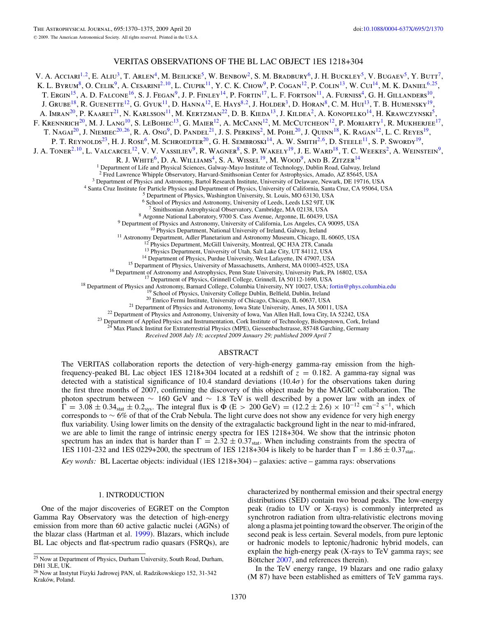## VERITAS OBSERVATIONS OF THE BL LAC OBJECT 1ES 1218+304

V. A. Acciari<sup>1,2</sup>, E. Aliu<sup>3</sup>, T. Arlen<sup>4</sup>, M. Beilicke<sup>5</sup>, W. Benbow<sup>2</sup>, S. M. Bradbury<sup>6</sup>, J. H. Buckley<sup>5</sup>, V. Bugaev<sup>5</sup>, Y. Butt<sup>7</sup>, K. L. BYRUM<sup>8</sup>, O. CELIK<sup>9</sup>, A. CESARINI<sup>2,10</sup>, L. CIUPIK<sup>11</sup>, Y. C. K. CHOW<sup>9</sup>, P. COGAN<sup>12</sup>, P. COLIN<sup>13</sup>, W. CUI<sup>14</sup>, M. K. DANIEL<sup>6,25</sup>, T. ERGIN<sup>15</sup>, A. D. FALCONE<sup>16</sup>, S. J. FEGAN<sup>9</sup>, J. P. FINLEY<sup>14</sup>, P. FORTIN<sup>17</sup>, L. F. FORTSON<sup>11</sup>, A. FURNISS<sup>4</sup>, G. H. GILLANDERS<sup>10</sup>, J. GRUBE<sup>18</sup>, R. GUENETTE<sup>12</sup>, G. GYUK<sup>11</sup>, D. HANNA<sup>12</sup>, E. HAYS<sup>8,2</sup>, J. HOLDER<sup>3</sup>, D. HORAN<sup>8</sup>, C. M. HUI<sup>13</sup>, T. B. HUMENSKY<sup>19</sup>, A. Imran<sup>20</sup>, P. Kaaret<sup>21</sup>, N. Karlsson<sup>11</sup>, M. Kertzman<sup>22</sup>, D. B. Kieda<sup>13</sup>, J. Kildea<sup>2</sup>, A. Konopelko<sup>14</sup>, H. Krawczynski<sup>5</sup>, F. Krennrich<sup>20</sup>, M. J. Lang<sup>10</sup>, S. LeBohec<sup>13</sup>, G. Maier<sup>12</sup>, A. McCann<sup>12</sup>, M. McCutcheon<sup>12</sup>, P. Moriarty<sup>1</sup>, R. Mukherjee<sup>17</sup>, T. Nagai<sup>20</sup>, J. Niemiec<sup>20,26</sup>, R. A. Ong<sup>9</sup>, D. Pandel<sup>21</sup>, J. S. Perkins<sup>2</sup>, M. Pohl<sup>20</sup>, J. Quinn<sup>18</sup>, K. Ragan<sup>12</sup>, L. C. Reyes<sup>19</sup>, P. T. REYNOLDS<sup>23</sup>, H. J. ROSE<sup>6</sup>, M. SCHROEDTER<sup>20</sup>, G. H. SEMBROSKI<sup>14</sup>, A. W. SMITH<sup>2,6</sup>, D. STEELE<sup>11</sup>, S. P. SWORDY<sup>19</sup>, J. A. TONER<sup>2,10</sup>, L. VALCARCEL<sup>12</sup>, V. V. VASSILIEV<sup>9</sup>, R. WAGNER<sup>8</sup>, S. P. WAKELY<sup>19</sup>, J. E. WARD<sup>18</sup>, T. C. WEEKES<sup>2</sup>, A. WEINSTEIN<sup>9</sup>, R. J. WHITE<sup>6</sup>, D. A. WILLIAMS<sup>4</sup>, S. A. WISSEL<sup>19</sup>, M. WOOD<sup>9</sup>, AND B. ZITZER<sup>14</sup> <sup>1</sup> Department of Life and Physical Sciences, Galway-Mayo Institute of Technology, Dublin Road, Galway, Ireland <sup>2</sup> Fred Lawrence Whipple Observatory, Harvard-Smithsonian Center for Astrophysics, Amado, AZ 85645, USA <sup>3</sup> Department of Physics and Astronomy, Bartol Research Institute, University of Delaware, Newark, DE 19716, USA  $^4$  Santa Cruz Institute for Particle Physics and Department of Physics, University of California, Santa C <sup>6</sup> School of Physics and Astronomy, University of Leeds, Leeds LS2 9JT, UK <sup>7</sup> Smithsonian Astrophysical Observatory, Cambridge, MA 02138, USA <sup>7</sup> Smithsonian Astrophysical Observatory, Cambridge, MA 02138, USA<br><sup>8</sup> Argonne National Laboratory, 7000 S. Cass Avenue, Argonne, IL 60439, USA<br><sup>9</sup> Department of Physics and Astronomy, University of California, Los Angel

<sup>23</sup> Department of Applied Physics and Instrumentation, Cork Institute of Technology, Bishopstown, Cork, Ireland <sup>24</sup> Max Planck Institut for Extraterrestrial Physics (MPE), Giessenbachstrasse, 85748 Garching, Germany

*Received 2008 July 18; accepted 2009 January 29; published 2009 April 7*

#### ABSTRACT

The VERITAS collaboration reports the detection of very-high-energy gamma-ray emission from the highfrequency-peaked BL Lac object 1ES 1218+304 located at a redshift of *z* = 0*.*182. A gamma-ray signal was detected with a statistical significance of 10.4 standard deviations (10.4 $\sigma$ ) for the observations taken during the first three months of 2007, confirming the discovery of this object made by the MAGIC collaboration. The photon spectrum between ∼ 160 GeV and ∼ 1*.*8 TeV is well described by a power law with an index of  $\Gamma = 3.08 \pm 0.34_{\text{stat}} \pm 0.2_{\text{sys}}$ . The integral flux is  $\Phi$  (E > 200 GeV) = (12.2 ± 2.6) × 10<sup>-12</sup> cm<sup>-2</sup> s<sup>-1</sup>, which corresponds to ∼ 6% of that of the Crab Nebula. The light curve does not show any evidence for very high energy flux variability. Using lower limits on the density of the extragalactic background light in the near to mid-infrared, we are able to limit the range of intrinsic energy spectra for 1ES 1218+304. We show that the intrinsic photon spectrum has an index that is harder than  $\Gamma = 2.32 \pm 0.37$  stat. When including constraints from the spectra of 1ES 1101-232 and 1ES 0229+200, the spectrum of 1ES 1218+304 is likely to be harder than  $\Gamma = 1.86 \pm 0.37_{\text{stat}}$ .

*Key words:* BL Lacertae objects: individual (1ES 1218+304) – galaxies: active – gamma rays: observations

#### 1. INTRODUCTION

One of the major discoveries of EGRET on the Compton Gamma Ray Observatory was the detection of high-energy emission from more than 60 active galactic nuclei (AGNs) of the blazar class (Hartman et al. [1999\)](#page-6-0). Blazars, which include BL Lac objects and flat-spectrum radio quasars (FSRQs), are

characterized by nonthermal emission and their spectral energy distributions (SED) contain two broad peaks. The low-energy peak (radio to UV or X-rays) is commonly interpreted as synchrotron radiation from ultra-relativistic electrons moving along a plasma jet pointing toward the observer. The origin of the second peak is less certain. Several models, from pure leptonic or hadronic models to leptonic*/*hadronic hybrid models, can explain the high-energy peak (X-rays to TeV gamma rays; see Böttcher [2007,](#page-6-0) and references therein).

In the TeV energy range, 19 blazars and one radio galaxy (M 87) have been established as emitters of TeV gamma rays.

<sup>25</sup> Now at Department of Physics, Durham University, South Road, Durham, DH1 3LE, UK.

<sup>26</sup> Now at Instytut Fizyki Jadrowej PAN, ul. Radzikowskiego 152, 31-342 Kraków, Poland.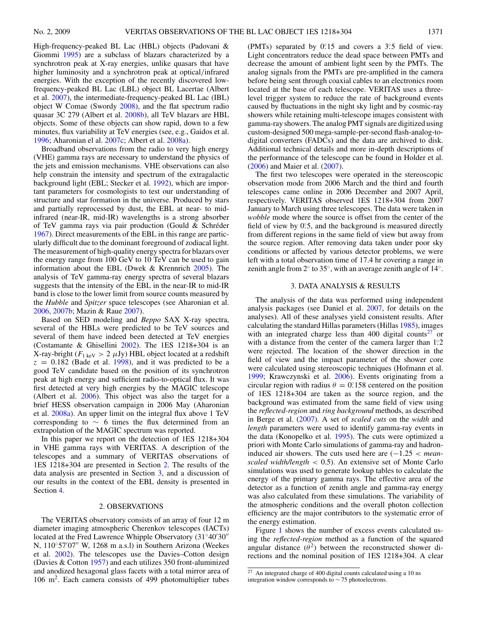High-frequency-peaked BL Lac (HBL) objects (Padovani & Giommi [1995\)](#page-6-0) are a subclass of blazars characterized by a synchrotron peak at X-ray energies, unlike quasars that have higher luminosity and a synchrotron peak at optical*/*infrared energies. With the exception of the recently discovered lowfrequency-peaked BL Lac (LBL) object BL Lacertae (Albert et al. [2007\)](#page-6-0), the intermediate-frequency-peaked BL Lac (IBL) object W Comae (Swordy [2008\)](#page-6-0), and the flat spectrum radio quasar 3C 279 (Albert et al. [2008b\)](#page-6-0), all TeV blazars are HBL objects. Some of these objects can show rapid, down to a few minutes, flux variability at TeV energies (see, e.g., Gaidos et al. [1996;](#page-6-0) Aharonian el al. [2007c;](#page-6-0) Albert et al. [2008a\)](#page-6-0).

Broadband observations from the radio to very high energy (VHE) gamma rays are necessary to understand the physics of the jets and emission mechanisms. VHE observations can also help constrain the intensity and spectrum of the extragalactic background light (EBL; Stecker et al. [1992\)](#page-6-0), which are important parameters for cosmologists to test our understanding of structure and star formation in the universe. Produced by stars and partially reprocessed by dust, the EBL at near- to midinfrared (near-IR, mid-IR) wavelengths is a strong absorber of TeV gamma rays via pair production (Gould & Schreder ´ [1967\)](#page-6-0). Direct measurements of the EBL in this range are particularly difficult due to the dominant foreground of zodiacal light. The measurement of high-quality energy spectra for blazars over the energy range from 100 GeV to 10 TeV can be used to gain information about the EBL (Dwek & Krennrich [2005\)](#page-6-0). The analysis of TeV gamma-ray energy spectra of several blazars suggests that the intensity of the EBL in the near-IR to mid-IR band is close to the lower limit from source counts measured by the *Hubble* and *Spitzer* space telescopes (see Aharonian et al. [2006,](#page-6-0) [2007b;](#page-6-0) Mazin & Raue [2007\)](#page-6-0).

Based on SED modeling and *Beppo* SAX X-ray spectra, several of the HBLs were predicted to be TeV sources and several of them have indeed been detected at TeV energies (Costamante & Ghisellini [2002\)](#page-6-0). The 1ES 1218+304 is an X-ray-bright ( $F_{1 \text{ keV}} > 2 \mu \text{Jy}$ ) HBL object located at a redshift  $z = 0.182$  (Bade et al. [1998\)](#page-6-0), and it was predicted to be a good TeV candidate based on the position of its synchrotron peak at high energy and sufficient radio-to-optical flux. It was first detected at very high energies by the MAGIC telescope (Albert et al. [2006\)](#page-6-0). This object was also the target for a brief HESS observation campaign in 2006 May (Aharonian et al. [2008a\)](#page-6-0). An upper limit on the integral flux above 1 TeV corresponding to ∼ 6 times the flux determined from an extrapolation of the MAGIC spectrum was reported.

In this paper we report on the detection of 1ES 1218+304 in VHE gamma rays with VERITAS. A description of the telescopes and a summary of VERITAS observations of 1ES 1218+304 are presented in Section 2. The results of the data analysis are presented in Section 3, and a discussion of our results in the context of the EBL density is presented in Section [4.](#page-4-0)

#### 2. OBSERVATIONS

The VERITAS observatory consists of an array of four 12 m diameter imaging atmospheric Cherenkov telescopes (IACTs) located at the Fred Lawrence Whipple Observatory (31◦40 30 N, 110°57′07″ W, 1268 m a.s.l) in Southern Arizona (Weekes et al. [2002\)](#page-6-0). The telescopes use the Davies–Cotton design (Davies & Cotton [1957\)](#page-6-0) and each utilizes 350 front-aluminized and anodized hexagonal glass facets with a total mirror area of  $106$  m<sup>2</sup>. Each camera consists of 499 photomultiplier tubes

(PMTs) separated by 0°.15 and covers a 3°.5 field of view. Light concentrators reduce the dead space between PMTs and decrease the amount of ambient light seen by the PMTs. The analog signals from the PMTs are pre-amplified in the camera before being sent through coaxial cables to an electronics room located at the base of each telescope. VERITAS uses a threelevel trigger system to reduce the rate of background events caused by fluctuations in the night sky light and by cosmic-ray showers while retaining multi-telescope images consistent with gamma-ray showers. The analog PMT signals are digitized using custom-designed 500 mega-sample-per-second flash-analog-todigital converters (FADCs) and the data are archived to disk. Additional technical details and more in-depth descriptions of the performance of the telescope can be found in Holder et al. [\(2006\)](#page-6-0) and Maier et al. [\(2007\)](#page-6-0).

The first two telescopes were operated in the stereoscopic observation mode from 2006 March and the third and fourth telescopes came online in 2006 December and 2007 April, respectively. VERITAS observed 1ES 1218+304 from 2007 January to March using three telescopes. The data were taken in *wobble* mode where the source is offset from the center of the field of view by 0.5, and the background is measured directly from different regions in the same field of view but away from the source region. After removing data taken under poor sky conditions or affected by various detector problems, we were left with a total observation time of 17.4 hr covering a range in zenith angle from  $2°$  to  $35°$ , with an average zenith angle of  $14°$ .

### 3. DATA ANALYSIS & RESULTS

The analysis of the data was performed using independent analysis packages (see Daniel et al. [2007,](#page-6-0) for details on the analyses). All of these analyses yield consistent results. After calculating the standard Hillas parameters (Hillas [1985\)](#page-6-0), images with an integrated charge less than 400 digital counts<sup>27</sup> or with a distance from the center of the camera larger than 1<sup>2</sup>. were rejected. The location of the shower direction in the field of view and the impact parameter of the shower core were calculated using stereoscopic techniques (Hofmann et al. [1999;](#page-6-0) Krawczynski et al. [2006\)](#page-6-0). Events originating from a circular region with radius  $\theta = 0.158$  centered on the position of 1ES 1218+304 are taken as the source region, and the background was estimated from the same field of view using the *reflected-region* and *ring background* methods, as described in Berge et al. [\(2007\)](#page-6-0). A set of *scaled cuts* on the *width* and *length* parameters were used to identify gamma-ray events in the data (Konopelko et al. [1995\)](#page-6-0). The cuts were optimized a priori with Monte Carlo simulations of gamma-ray and hadroninduced air showers. The cuts used here are (−1.25 *< meanscaled width/length <* 0.5). An extensive set of Monte Carlo simulations was used to generate lookup tables to calculate the energy of the primary gamma rays. The effective area of the detector as a function of zenith angle and gamma-ray energy was also calculated from these simulations. The variability of the atmospheric conditions and the overall photon collection efficiency are the major contributors to the systematic error of the energy estimation.

Figure [1](#page-3-0) shows the number of excess events calculated using the *reflected-region* method as a function of the squared angular distance  $(\theta^2)$  between the reconstructed shower directions and the nominal position of 1ES 1218+304. A clear

<sup>27</sup> An integrated charge of 400 digital counts calculated using a 10 ns integration window corresponds to ∼ 75 photoelectrons.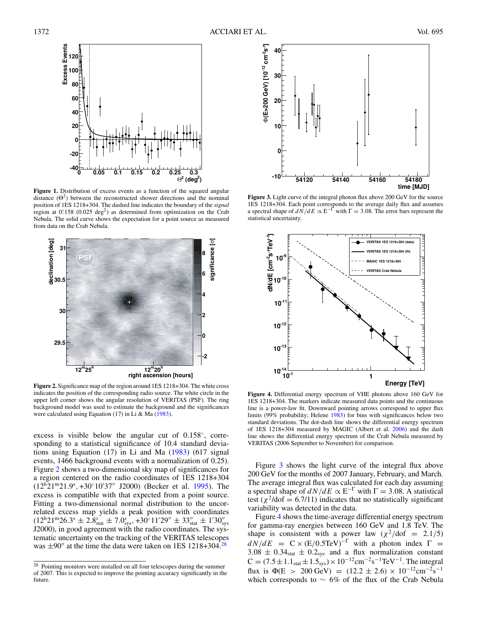<span id="page-3-0"></span>

**Figure 1.** Distribution of excess events as a function of the squared angular distance  $(\Theta^2)$  between the reconstructed shower directions and the nominal position of 1ES 1218+304. The dashed line indicates the boundary of the *signal* region at 0.158 (0.025 deg<sup>2</sup>) as determined from optimization on the Crab Nebula. The solid curve shows the expectation for a point source as measured from data on the Crab Nebula.



**Figure 2.** Significance map of the region around 1ES 1218+304. The white cross indicates the position of the corresponding radio source. The white circle in the upper left corner shows the angular resolution of VERITAS (PSF). The ring background model was used to estimate the background and the significances were calculated using Equation (17) in Li & Ma [\(1983\)](#page-6-0).

excess is visible below the angular cut of 0*.*158◦, corresponding to a statistical significance of 10.4 standard deviations using Equation  $(17)$  in Li and Ma  $(1983)$   $(617 \text{ signal})$ events, 1466 background events with a normalization of 0.25). Figure 2 shows a two-dimensional sky map of significances for a region centered on the radio coordinates of 1ES 1218+304 (12h21m21*.*9s *,* +30◦10 37 J2000) (Becker et al. [1995\)](#page-6-0). The excess is compatible with that expected from a point source. Fitting a two-dimensional normal distribution to the uncorrelated excess map yields a peak position with coordinates  $(12^{\text{h}}21^{\text{m}}26.3^{\text{s}} \pm 2.8^{\text{s}}_{\text{stat}} \pm 7.0^{\text{s}}_{\text{sys}}, +30^{\circ}11'29'' \pm 33''_{\text{stat}} \pm 1'30''_{\text{sys}})$ J2000), in good agreement with the radio coordinates. The systematic uncertainty on the tracking of the VERITAS telescopes was  $\pm 90''$  at the time the data were taken on 1ES 1218+304.<sup>28</sup>



**Figure 3.** Light curve of the integral photon flux above 200 GeV for the source 1ES 1218+304. Each point corresponds to the average daily flux and assumes a spectral shape of  $dN/dE \propto E^{-\Gamma}$  with  $\Gamma = 3.08$ . The error bars represent the statistical uncertainty.



**Figure 4.** Differential energy spectrum of VHE photons above 160 GeV for 1ES 1218+304. The markers indicate measured data points and the continuous line is a power-law fit. Downward pointing arrows correspond to upper flux limits (99% probability; Helene [1983\)](#page-6-0) for bins with significances below two standard deviations. The dot-dash line shows the differential energy spectrum of 1ES 1218+304 measured by MAGIC (Albert et al. [2006\)](#page-6-0) and the dash line shows the differential energy spectrum of the Crab Nebula measured by VERITAS (2006 September to November) for comparison.

Figure 3 shows the light curve of the integral flux above 200 GeV for the months of 2007 January, February, and March. The average integral flux was calculated for each day assuming a spectral shape of  $dN/dE \propto E^{-\Gamma}$  with  $\Gamma = 3.08$ . A statistical test  $(\chi^2/\text{dof} = 6.7/11)$  indicates that no statistically significant variability was detected in the data.

Figure 4 shows the time-average differential energy spectrum for gamma-ray energies between 160 GeV and 1.8 TeV. The shape is consistent with a power law  $(\chi^2/\text{dof} = 2.1/5)$  $dN/dE$  = C × (E/0.5TeV)<sup>-Γ</sup> with a photon index  $\Gamma$  =  $3.08 \pm 0.34_{stat} \pm 0.2_{sys}$  and a flux normalization constant  $C = (7.5 \pm 1.1<sub>stat</sub> \pm 1.5<sub>sys</sub>) \times 10<sup>-12</sup> cm<sup>-2</sup> s<sup>-1</sup> TeV<sup>-1</sup>. The integral$ flux is  $\Phi(E > 200 \text{ GeV}) = (12.2 \pm 2.6) \times 10^{-12} \text{cm}^{-2} \text{s}^{-1}$ which corresponds to  $\sim$  6% of the flux of the Crab Nebula

<sup>&</sup>lt;sup>28</sup> Pointing monitors were installed on all four telescopes during the summer of 2007. This is expected to improve the pointing accuracy significantly in the future.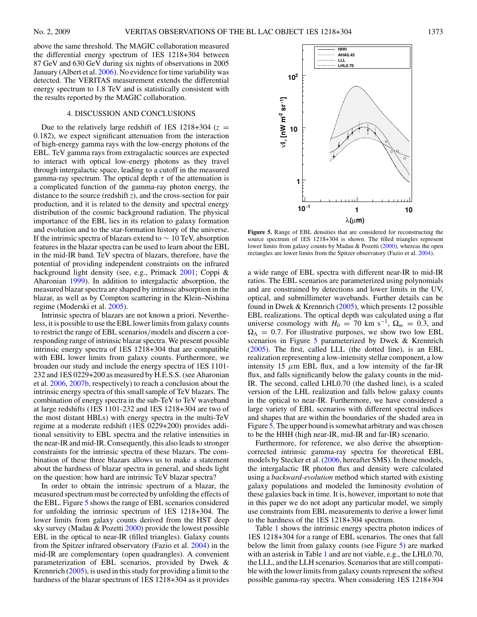<span id="page-4-0"></span>above the same threshold. The MAGIC collaboration measured the differential energy spectrum of 1ES 1218+304 between 87 GeV and 630 GeV during six nights of observations in 2005 January (Albert et al. [2006\)](#page-6-0). No evidence for time variability was detected. The VERITAS measurement extends the differential energy spectrum to 1.8 TeV and is statistically consistent with the results reported by the MAGIC collaboration.

### 4. DISCUSSION AND CONCLUSIONS

Due to the relatively large redshift of 1ES 1218+304 ( $z =$ 0*.*182), we expect significant attenuation from the interaction of high-energy gamma rays with the low-energy photons of the EBL. TeV gamma rays from extragalactic sources are expected to interact with optical low-energy photons as they travel through intergalactic space, leading to a cutoff in the measured gamma-ray spectrum. The optical depth  $\tau$  of the attenuation is a complicated function of the gamma-ray photon energy, the distance to the source (redshift *z*), and the cross-section for pair production, and it is related to the density and spectral energy distribution of the cosmic background radiation. The physical importance of the EBL lies in its relation to galaxy formation and evolution and to the star-formation history of the universe. If the intrinsic spectra of blazars extend to  $\sim 10$  TeV, absorption features in the blazar spectra can be used to learn about the EBL in the mid-IR band. TeV spectra of blazars, therefore, have the potential of providing independent constraints on the infrared background light density (see, e.g., Primack [2001;](#page-6-0) Coppi & Aharonian [1999\)](#page-6-0). In addition to intergalactic absorption, the measured blazar spectra are shaped by intrinsic absorption in the blazar, as well as by Compton scattering in the Klein–Nishina regime (Moderski et al. [2005\)](#page-6-0).

Intrinsic spectra of blazars are not known a priori. Nevertheless, it is possible to use the EBL lower limits from galaxy counts to restrict the range of EBL scenarios*/*models and discern a corresponding range of intrinsic blazar spectra. We present possible intrinsic energy spectra of 1ES 1218+304 that are compatible with EBL lower limits from galaxy counts. Furthermore, we broaden our study and include the energy spectra of 1ES 1101- 232 and 1ES 0229+200 as measured by H.E.S.S. (see Aharonian et al. [2006,](#page-6-0) [2007b,](#page-6-0) respectively) to reach a conclusion about the intrinsic energy spectra of this small sample of TeV blazars. The combination of energy spectra in the sub-TeV to TeV waveband at large redshifts (1ES 1101-232 and 1ES 1218+304 are two of the most distant HBLs) with energy spectra in the multi-TeV regime at a moderate redshift (1ES 0229+200) provides additional sensitivity to EBL spectra and the relative intensities in the near-IR and mid-IR. Consequently, this also leads to stronger constraints for the intrinsic spectra of these blazars. The combination of these three blazars allows us to make a statement about the hardness of blazar spectra in general, and sheds light on the question: how hard are intrinsic TeV blazar spectra?

In order to obtain the intrinsic spectrum of a blazar, the measured spectrum must be corrected by unfolding the effects of the EBL. Figure 5 shows the range of EBL scenarios considered for unfolding the intrinsic spectrum of 1ES 1218+304. The lower limits from galaxy counts derived from the HST deep sky survey (Madau & Pozetti [2000\)](#page-6-0) provide the lowest possible EBL in the optical to near-IR (filled triangles). Galaxy counts from the Spitzer infrared observatory (Fazio et al. [2004\)](#page-6-0) in the mid-IR are complementary (open quadrangles). A convenient parameterization of EBL scenarios, provided by Dwek & Krennrich [\(2005\)](#page-6-0), is used in this study for providing a limit to the hardness of the blazar spectrum of 1ES 1218+304 as it provides



**Figure 5.** Range of EBL densities that are considered for reconstructing the source spectrum of 1ES 1218+304 is shown. The filled triangles represent lower limits from galaxy counts by Madau & Pozetti [\(2000\)](#page-6-0), whereas the open rectangles are lower limits from the Spitzer observatory (Fazio et al. [2004\)](#page-6-0).

a wide range of EBL spectra with different near-IR to mid-IR ratios. The EBL scenarios are parameterized using polynomials and are constrained by detections and lower limits in the UV, optical, and submillimeter wavebands. Further details can be found in Dwek & Krennrich [\(2005\)](#page-6-0), which presents 12 possible EBL realizations. The optical depth was calculated using a flat universe cosmology with  $H_0 = 70$  km s<sup>-1</sup>,  $\Omega_m = 0.3$ , and  $\Omega_{\Lambda} = 0.7$ . For illustrative purposes, we show two low EBL scenarios in Figure 5 parameterized by Dwek & Krennrich [\(2005\)](#page-6-0). The first, called LLL (the dotted line), is an EBL realization representing a low-intensity stellar component, a low intensity 15  $\mu$ m EBL flux, and a low intensity of the far-IR flux, and falls significantly below the galaxy counts in the mid-IR. The second, called LHL0.70 (the dashed line), is a scaled version of the LHL realization and falls below galaxy counts in the optical to near-IR. Furthermore, we have considered a large variety of EBL scenarios with different spectral indices and shapes that are within the boundaries of the shaded area in Figure 5. The upper bound is somewhat arbitrary and was chosen to be the HHH (high near-IR, mid-IR and far-IR) scenario.

Furthermore, for reference, we also derive the absorptioncorrected intrinsic gamma-ray spectra for theoretical EBL models by Stecker et al. [\(2006,](#page-6-0) hereafter SMS). In these models, the intergalactic IR photon flux and density were calculated using a *backward-evolution* method which started with existing galaxy populations and modeled the luminosity evolution of these galaxies back in time. It is, however, important to note that in this paper we do not adopt any particular model, we simply use constraints from EBL measurements to derive a lower limit to the hardness of the 1ES 1218+304 spectrum.

Table [1](#page-5-0) shows the intrinsic energy spectra photon indices of 1ES 1218+304 for a range of EBL scenarios. The ones that fall below the limit from galaxy counts (see Figure 5) are marked with an asterisk in Table [1](#page-5-0) and are not viable, e.g., the LHL0.70, the LLL, and the LLH scenarios. Scenarios that are still compatible with the lower limits from galaxy counts represent the softest possible gamma-ray spectra. When considering 1ES 1218+304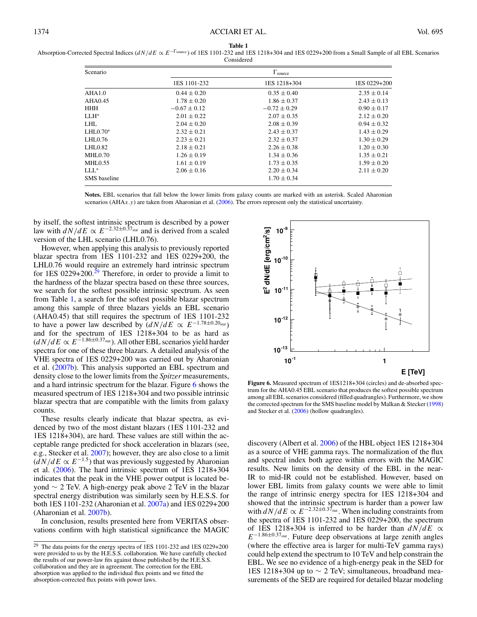#### **Table 1**

<span id="page-5-0"></span>

| Absorption-Corrected Spectral Indices (dN/dE $\propto E^{-\Gamma_{\text{source}}}$ ) of 1ES 1101-232 and 1ES 1218+304 and 1ES 0229+200 from a Small Sample of all EBL Scenarios |  |
|---------------------------------------------------------------------------------------------------------------------------------------------------------------------------------|--|
| Considered                                                                                                                                                                      |  |

| Scenario            | $\Gamma_{\text{source}}$ |                  |                 |
|---------------------|--------------------------|------------------|-----------------|
|                     | 1ES 1101-232             | 1ES 1218+304     | 1ES 0229+200    |
| AHA1.0              | $0.44 \pm 0.20$          | $0.35 \pm 0.40$  | $2.35 \pm 0.14$ |
| AHA0.45             | $1.78 \pm 0.20$          | $1.86 \pm 0.37$  | $2.43 \pm 0.13$ |
| <b>HHH</b>          | $-0.67 \pm 0.12$         | $-0.72 \pm 0.29$ | $0.90 \pm 0.17$ |
| $LLH^*$             | $2.01 \pm 0.22$          | $2.07 \pm 0.35$  | $2.12 \pm 0.20$ |
| LHL                 | $2.04 \pm 0.20$          | $2.08 \pm 0.39$  | $0.94 \pm 0.32$ |
| $LHL0.70*$          | $2.32 \pm 0.21$          | $2.43 \pm 0.37$  | $1.43 \pm 0.29$ |
| LHL0.76             | $2.23 \pm 0.21$          | $2.32 \pm 0.37$  | $1.30 \pm 0.29$ |
| LHL0.82             | $2.18 \pm 0.21$          | $2.26 \pm 0.38$  | $1.20 \pm 0.30$ |
| MHL0.70             | $1.26 \pm 0.19$          | $1.34 \pm 0.36$  | $1.35 \pm 0.21$ |
| MHL0.55             | $1.61 \pm 0.19$          | $1.73 \pm 0.35$  | $1.59 \pm 0.20$ |
| $LLL^*$             | $2.06 \pm 0.16$          | $2.20 \pm 0.34$  | $2.11 \pm 0.20$ |
| <b>SMS</b> baseline |                          | $1.70 \pm 0.34$  |                 |

**Notes.** EBL scenarios that fall below the lower limits from galaxy counts are marked with an asterisk. Scaled Aharonian scenarios (AHA*x.y*) are taken from Aharonian et al. [\(2006\)](#page-6-0). The errors represent only the statistical uncertainty.

by itself, the softest intrinsic spectrum is described by a power law with  $dN/dE \propto E^{-2.32 \pm 0.37_{\text{stat}}}$  and is derived from a scaled version of the LHL scenario (LHL0.76).

However, when applying this analysis to previously reported blazar spectra from 1ES 1101-232 and 1ES 0229+200, the LHL0.76 would require an extremely hard intrinsic spectrum for  $1ES 0229+200.<sup>29</sup>$  Therefore, in order to provide a limit to the hardness of the blazar spectra based on these three sources, we search for the softest possible intrinsic spectrum. As seen from Table 1, a search for the softest possible blazar spectrum among this sample of three blazars yields an EBL scenario (AHA0.45) that still requires the spectrum of 1ES 1101-232 to have a power law described by  $(dN/dE \propto E^{-1.78 \pm 0.20_{stat}})$ and for the spectrum of 1ES 1218+304 to be as hard as  $(dN/dE \propto E^{-1.86 \pm 0.37_{\text{stat}}}$ ). All other EBL scenarios yield harder spectra for one of these three blazars. A detailed analysis of the VHE spectra of 1ES 0229+200 was carried out by Aharonian et al. [\(2007b\)](#page-6-0). This analysis supported an EBL spectrum and density close to the lower limits from the *Spitzer* measurements, and a hard intrinsic spectrum for the blazar. Figure 6 shows the measured spectrum of 1ES 1218+304 and two possible intrinsic blazar spectra that are compatible with the limits from galaxy counts.

These results clearly indicate that blazar spectra, as evidenced by two of the most distant blazars (1ES 1101-232 and 1ES 1218+304), are hard. These values are still within the acceptable range predicted for shock acceleration in blazars (see, e.g., Stecker et al. [2007\)](#page-6-0); however, they are also close to a limit  $(dN/dE \propto E^{-1.5})$  that was previously suggested by Aharonian et al. [\(2006\)](#page-6-0). The hard intrinsic spectrum of 1ES 1218+304 indicates that the peak in the VHE power output is located beyond ∼ 2 TeV. A high-energy peak above 2 TeV in the blazar spectral energy distribution was similarly seen by H.E.S.S. for both 1ES 1101-232 (Aharonian et al. [2007a\)](#page-6-0) and 1ES 0229+200 (Aharonian et al. [2007b\)](#page-6-0).

In conclusion, results presented here from VERITAS observations confirm with high statistical significance the MAGIC



**Figure 6.** Measured spectrum of 1ES1218+304 (circles) and de-absorbed spectrum for the AHA0.45 EBL scenario that produces the softest possible spectrum among all EBL scenarios considered (filled quadrangles). Furthermore, we show the corrected spectrum for the SMS baseline model by Malkan & Stecker [\(1998\)](#page-6-0) and Stecker et al. [\(2006\)](#page-6-0) (hollow quadrangles).

discovery (Albert et al. [2006\)](#page-6-0) of the HBL object 1ES 1218+304 as a source of VHE gamma rays. The normalization of the flux and spectral index both agree within errors with the MAGIC results. New limits on the density of the EBL in the near-IR to mid-IR could not be established. However, based on lower EBL limits from galaxy counts we were able to limit the range of intrinsic energy spectra for 1ES 1218+304 and showed that the intrinsic spectrum is harder than a power law with  $dN/dE \propto E^{-2.32 \pm 0.37}$  stat. When including constraints from the spectra of 1ES 1101-232 and 1ES 0229+200, the spectrum of 1ES 1218+304 is inferred to be harder than  $dN/dE \propto$  $E^{-1.86\pm0.37_{stat}}$ . Future deep observations at large zenith angles (where the effective area is larger for multi-TeV gamma rays) could help extend the spectrum to 10 TeV and help constrain the EBL. We see no evidence of a high-energy peak in the SED for 1ES 1218+304 up to ∼ 2 TeV; simultaneous, broadband measurements of the SED are required for detailed blazar modeling

<sup>&</sup>lt;sup>29</sup> The data points for the energy spectra of 1ES 1101-232 and 1ES 0229+200 were provided to us by the H.E.S.S. collaboration. We have carefully checked the results of our power-law fits against those published by the H.E.S.S. collaboration and they are in agreement. The correction for the EBL absorption was applied to the individual flux points and we fitted the absorption-corrected flux points with power laws.